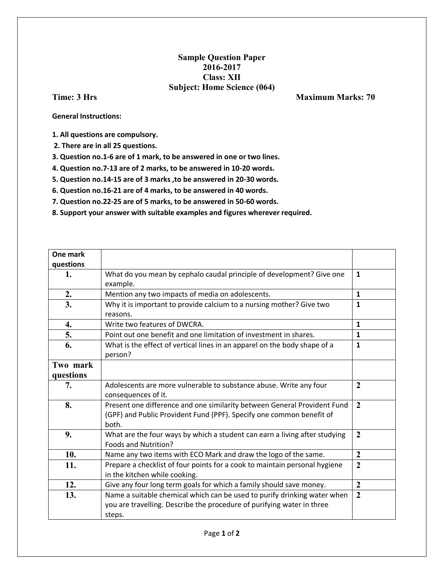## **Sample Question Paper 2016-2017 Class: XII Subject: Home Science (064)**

**Time: 3 Hrs Maximum Marks: 70** 

**General Instructions:** 

**1. All questions are compulsory.**

**2. There are in all 25 questions.** 

**3. Question no.1-6 are of 1 mark, to be answered in one or two lines.** 

**4. Question no.7-13 are of 2 marks, to be answered in 10-20 words.** 

**5. Question no.14-15 are of 3 marks ,to be answered in 20-30 words.** 

**6. Question no.16-21 are of 4 marks, to be answered in 40 words.** 

**7. Question no.22-25 are of 5 marks, to be answered in 50-60 words.** 

**8. Support your answer with suitable examples and figures wherever required.**

| One mark  |                                                                                                                                                              |                  |
|-----------|--------------------------------------------------------------------------------------------------------------------------------------------------------------|------------------|
| questions |                                                                                                                                                              |                  |
| 1.        | What do you mean by cephalo caudal principle of development? Give one<br>example.                                                                            | $\mathbf{1}$     |
| 2.        | Mention any two impacts of media on adolescents.                                                                                                             | $\mathbf{1}$     |
| 3.        | Why it is important to provide calcium to a nursing mother? Give two<br>reasons.                                                                             | $\mathbf{1}$     |
| 4.        | Write two features of DWCRA.                                                                                                                                 | $\mathbf{1}$     |
| 5.        | Point out one benefit and one limitation of investment in shares.                                                                                            | $\mathbf{1}$     |
| 6.        | What is the effect of vertical lines in an apparel on the body shape of a<br>person?                                                                         | $\mathbf{1}$     |
| Two mark  |                                                                                                                                                              |                  |
| questions |                                                                                                                                                              |                  |
| 7.        | Adolescents are more vulnerable to substance abuse. Write any four<br>consequences of it.                                                                    | $\overline{2}$   |
| 8.        | Present one difference and one similarity between General Provident Fund<br>(GPF) and Public Provident Fund (PPF). Specify one common benefit of<br>both.    | $\overline{2}$   |
| 9.        | What are the four ways by which a student can earn a living after studying<br>Foods and Nutrition?                                                           | $\overline{2}$   |
| 10.       | Name any two items with ECO Mark and draw the logo of the same.                                                                                              | $\boldsymbol{2}$ |
| 11.       | Prepare a checklist of four points for a cook to maintain personal hygiene<br>in the kitchen while cooking.                                                  | $\overline{2}$   |
| 12.       | Give any four long term goals for which a family should save money.                                                                                          | $\overline{2}$   |
| 13.       | Name a suitable chemical which can be used to purify drinking water when<br>you are travelling. Describe the procedure of purifying water in three<br>steps. | $\overline{2}$   |